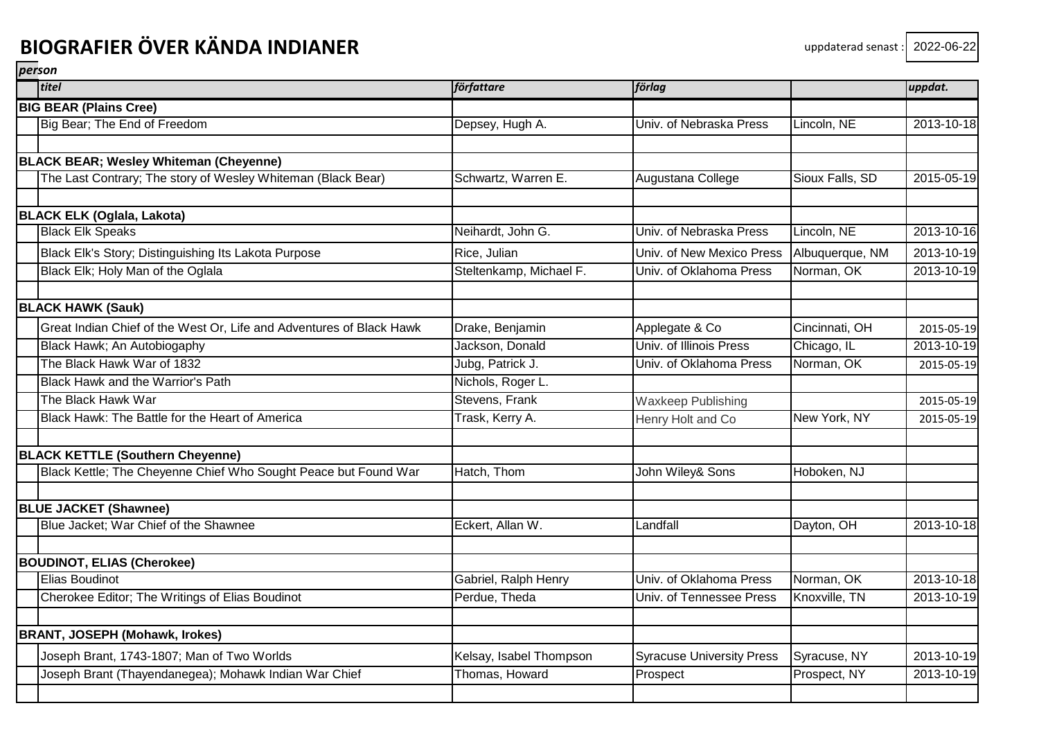| titel                                                                | författare              | förlag                           |                 | uppdat.    |
|----------------------------------------------------------------------|-------------------------|----------------------------------|-----------------|------------|
| <b>BIG BEAR (Plains Cree)</b>                                        |                         |                                  |                 |            |
| Big Bear; The End of Freedom                                         | Depsey, Hugh A.         | Univ. of Nebraska Press          | Lincoln, NE     | 2013-10-18 |
|                                                                      |                         |                                  |                 |            |
| <b>BLACK BEAR; Wesley Whiteman (Cheyenne)</b>                        |                         |                                  |                 |            |
| The Last Contrary; The story of Wesley Whiteman (Black Bear)         | Schwartz, Warren E.     | Augustana College                | Sioux Falls, SD | 2015-05-19 |
| <b>BLACK ELK (Oglala, Lakota)</b>                                    |                         |                                  |                 |            |
| <b>Black Elk Speaks</b>                                              | Neihardt, John G.       | Univ. of Nebraska Press          | Lincoln, NE     | 2013-10-16 |
| Black Elk's Story; Distinguishing Its Lakota Purpose                 | Rice, Julian            | Univ. of New Mexico Press        | Albuquerque, NM | 2013-10-19 |
| Black Elk; Holy Man of the Oglala                                    | Steltenkamp, Michael F. | Univ. of Oklahoma Press          | Norman, OK      | 2013-10-19 |
| <b>BLACK HAWK (Sauk)</b>                                             |                         |                                  |                 |            |
| Great Indian Chief of the West Or, Life and Adventures of Black Hawk | Drake, Benjamin         | Applegate & Co                   | Cincinnati, OH  | 2015-05-19 |
| Black Hawk; An Autobiogaphy                                          | Jackson, Donald         | Univ. of Illinois Press          | Chicago, IL     | 2013-10-19 |
| The Black Hawk War of 1832                                           | Jubg, Patrick J.        | Univ. of Oklahoma Press          | Norman, OK      | 2015-05-19 |
| <b>Black Hawk and the Warrior's Path</b>                             | Nichols, Roger L.       |                                  |                 |            |
| The Black Hawk War                                                   | Stevens, Frank          | <b>Waxkeep Publishing</b>        |                 | 2015-05-19 |
| Black Hawk: The Battle for the Heart of America                      | Trask, Kerry A.         | Henry Holt and Co                | New York, NY    | 2015-05-19 |
| <b>BLACK KETTLE (Southern Cheyenne)</b>                              |                         |                                  |                 |            |
| Black Kettle; The Cheyenne Chief Who Sought Peace but Found War      | Hatch, Thom             | John Wiley& Sons                 | Hoboken, NJ     |            |
| <b>BLUE JACKET (Shawnee)</b>                                         |                         |                                  |                 |            |
| Blue Jacket; War Chief of the Shawnee                                | Eckert, Allan W.        | Landfall                         | Dayton, OH      | 2013-10-18 |
| <b>BOUDINOT, ELIAS (Cherokee)</b>                                    |                         |                                  |                 |            |
| Elias Boudinot                                                       | Gabriel, Ralph Henry    | Univ. of Oklahoma Press          | Norman, OK      | 2013-10-18 |
| Cherokee Editor; The Writings of Elias Boudinot                      | Perdue, Theda           | Univ. of Tennessee Press         | Knoxville, TN   | 2013-10-19 |
| <b>BRANT, JOSEPH (Mohawk, Irokes)</b>                                |                         |                                  |                 |            |
| Joseph Brant, 1743-1807; Man of Two Worlds                           | Kelsay, Isabel Thompson | <b>Syracuse University Press</b> | Syracuse, NY    | 2013-10-19 |
| Joseph Brant (Thayendanegea); Mohawk Indian War Chief                | Thomas, Howard          | Prospect                         | Prospect, NY    | 2013-10-19 |
|                                                                      |                         |                                  |                 |            |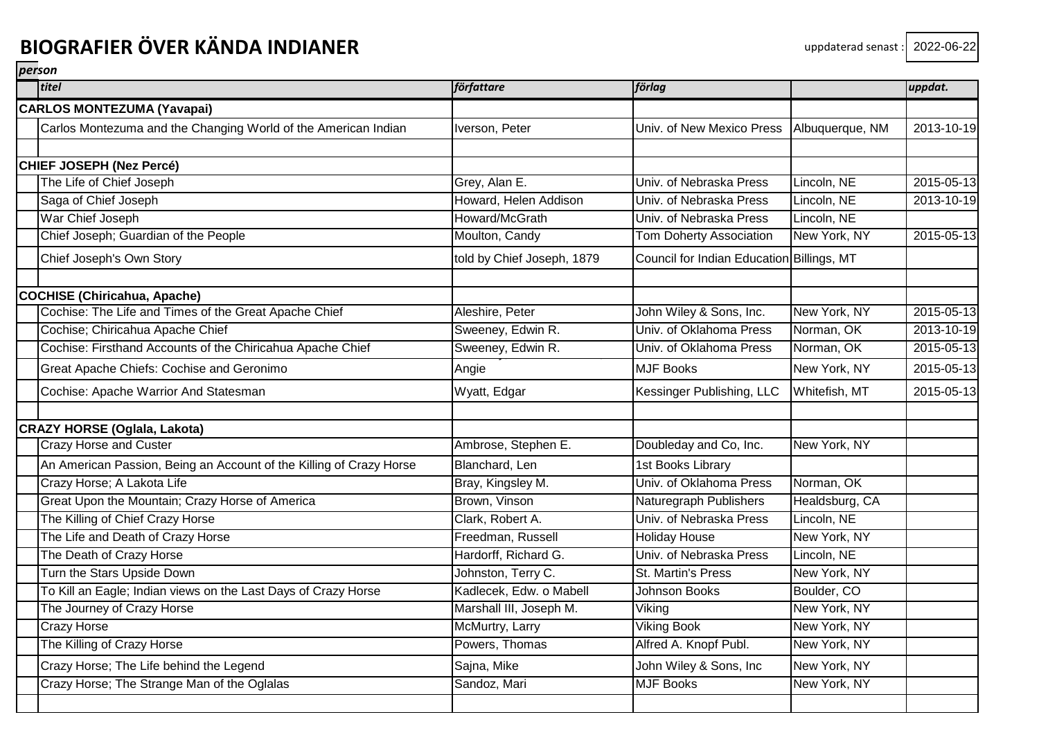| titel                                                               | författare                 | förlag                                    |                 | uppdat.    |
|---------------------------------------------------------------------|----------------------------|-------------------------------------------|-----------------|------------|
| <b>CARLOS MONTEZUMA (Yavapai)</b>                                   |                            |                                           |                 |            |
| Carlos Montezuma and the Changing World of the American Indian      | Iverson, Peter             | Univ. of New Mexico Press                 | Albuquerque, NM | 2013-10-19 |
|                                                                     |                            |                                           |                 |            |
| CHIEF JOSEPH (Nez Percé)                                            |                            |                                           |                 |            |
| The Life of Chief Joseph                                            | Grey, Alan E.              | Univ. of Nebraska Press                   | Lincoln, NE     | 2015-05-13 |
| Saga of Chief Joseph                                                | Howard, Helen Addison      | Univ. of Nebraska Press                   | Lincoln, NE     | 2013-10-19 |
| War Chief Joseph                                                    | Howard/McGrath             | Univ. of Nebraska Press                   | Lincoln, NE     |            |
| Chief Joseph; Guardian of the People                                | Moulton, Candy             | <b>Tom Doherty Association</b>            | New York, NY    | 2015-05-13 |
| Chief Joseph's Own Story                                            | told by Chief Joseph, 1879 | Council for Indian Education Billings, MT |                 |            |
| <b>COCHISE (Chiricahua, Apache)</b>                                 |                            |                                           |                 |            |
| Cochise: The Life and Times of the Great Apache Chief               | Aleshire, Peter            | John Wiley & Sons, Inc.                   | New York, NY    | 2015-05-13 |
| Cochise; Chiricahua Apache Chief                                    | Sweeney, Edwin R.          | Univ. of Oklahoma Press                   | Norman, OK      | 2013-10-19 |
| Cochise: Firsthand Accounts of the Chiricahua Apache Chief          | Sweeney, Edwin R.          | Univ. of Oklahoma Press                   | Norman, OK      | 2015-05-13 |
| Great Apache Chiefs: Cochise and Geronimo                           | Angie                      | <b>MJF Books</b>                          | New York, NY    | 2015-05-13 |
| Cochise: Apache Warrior And Statesman                               | Wyatt, Edgar               | Kessinger Publishing, LLC                 | Whitefish, MT   | 2015-05-13 |
| CRAZY HORSE (Oglala, Lakota)                                        |                            |                                           |                 |            |
| <b>Crazy Horse and Custer</b>                                       | Ambrose, Stephen E.        | Doubleday and Co, Inc.                    | New York, NY    |            |
| An American Passion, Being an Account of the Killing of Crazy Horse | Blanchard, Len             | 1st Books Library                         |                 |            |
| Crazy Horse; A Lakota Life                                          | Bray, Kingsley M.          | Univ. of Oklahoma Press                   | Norman, OK      |            |
| Great Upon the Mountain; Crazy Horse of America                     | Brown, Vinson              | Naturegraph Publishers                    | Healdsburg, CA  |            |
| The Killing of Chief Crazy Horse                                    | Clark, Robert A.           | Univ. of Nebraska Press                   | Lincoln, NE     |            |
| The Life and Death of Crazy Horse                                   | Freedman, Russell          | <b>Holiday House</b>                      | New York, NY    |            |
| The Death of Crazy Horse                                            | Hardorff, Richard G.       | Univ. of Nebraska Press                   | Lincoln, NE     |            |
| Turn the Stars Upside Down                                          | Johnston, Terry C.         | St. Martin's Press                        | New York, NY    |            |
| To Kill an Eagle; Indian views on the Last Days of Crazy Horse      | Kadlecek, Edw. o Mabell    | <b>Johnson Books</b>                      | Boulder, CO     |            |
| The Journey of Crazy Horse                                          | Marshall III, Joseph M.    | Viking                                    | New York, NY    |            |
| <b>Crazy Horse</b>                                                  | McMurtry, Larry            | <b>Viking Book</b>                        | New York, NY    |            |
| The Killing of Crazy Horse                                          | Powers, Thomas             | Alfred A. Knopf Publ.                     | New York, NY    |            |
| Crazy Horse; The Life behind the Legend                             | Sajna, Mike                | John Wiley & Sons, Inc                    | New York, NY    |            |
| Crazy Horse; The Strange Man of the Oglalas                         | Sandoz, Mari               | <b>MJF Books</b>                          | New York, NY    |            |
|                                                                     |                            |                                           |                 |            |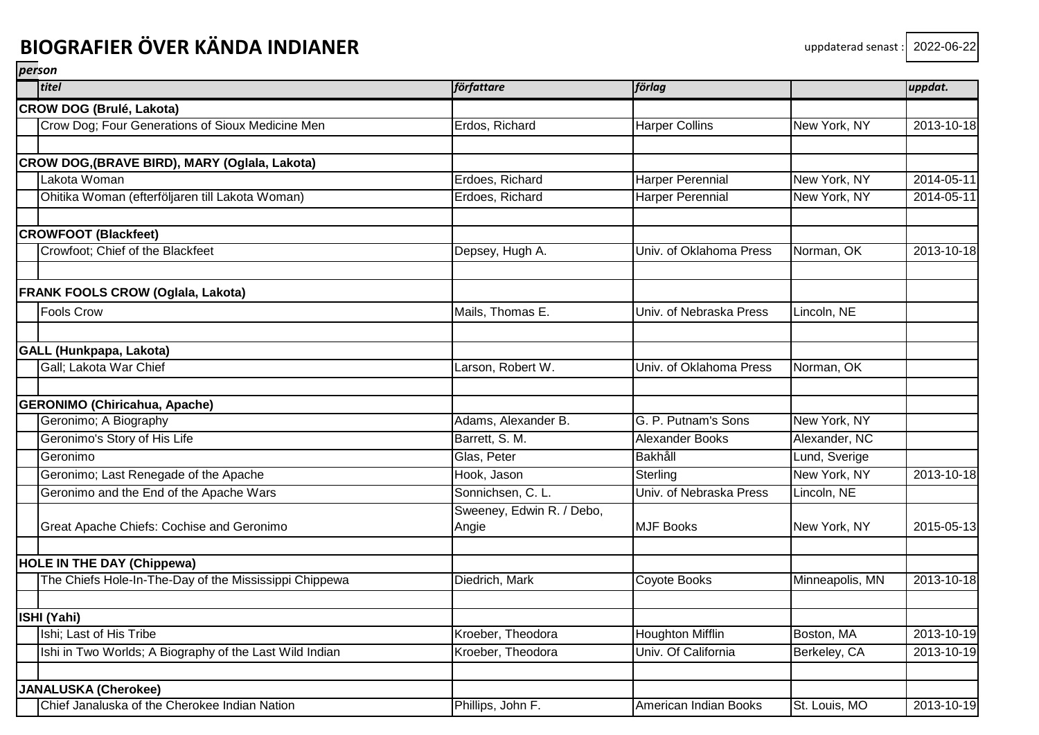| titel                                                   | författare                         | förlag                  |                 | uppdat.    |
|---------------------------------------------------------|------------------------------------|-------------------------|-----------------|------------|
| <b>CROW DOG (Brulé, Lakota)</b>                         |                                    |                         |                 |            |
| Crow Dog; Four Generations of Sioux Medicine Men        | Erdos, Richard                     | <b>Harper Collins</b>   | New York, NY    | 2013-10-18 |
|                                                         |                                    |                         |                 |            |
| CROW DOG,(BRAVE BIRD), MARY (Oglala, Lakota)            |                                    |                         |                 |            |
| Lakota Woman                                            | Erdoes, Richard                    | <b>Harper Perennial</b> | New York, NY    | 2014-05-11 |
| Ohitika Woman (efterföljaren till Lakota Woman)         | Erdoes, Richard                    | <b>Harper Perennial</b> | New York, NY    | 2014-05-11 |
| <b>CROWFOOT (Blackfeet)</b>                             |                                    |                         |                 |            |
| Crowfoot; Chief of the Blackfeet                        | Depsey, Hugh A.                    | Univ. of Oklahoma Press | Norman, OK      | 2013-10-18 |
| <b>FRANK FOOLS CROW (Oglala, Lakota)</b>                |                                    |                         |                 |            |
| <b>Fools Crow</b>                                       | Mails, Thomas E.                   | Univ. of Nebraska Press | Lincoln, NE     |            |
| <b>GALL (Hunkpapa, Lakota)</b>                          |                                    |                         |                 |            |
| Gall; Lakota War Chief                                  | Larson, Robert W.                  | Univ. of Oklahoma Press | Norman, OK      |            |
| <b>GERONIMO (Chiricahua, Apache)</b>                    |                                    |                         |                 |            |
| Geronimo; A Biography                                   | Adams, Alexander B.                | G. P. Putnam's Sons     | New York, NY    |            |
| Geronimo's Story of His Life                            | Barrett, S. M.                     | <b>Alexander Books</b>  | Alexander, NC   |            |
| Geronimo                                                | Glas, Peter                        | Bakhåll                 | Lund, Sverige   |            |
| Geronimo; Last Renegade of the Apache                   | Hook, Jason                        | Sterling                | New York, NY    | 2013-10-18 |
| Geronimo and the End of the Apache Wars                 | Sonnichsen, C. L.                  | Univ. of Nebraska Press | Lincoln, NE     |            |
| Great Apache Chiefs: Cochise and Geronimo               | Sweeney, Edwin R. / Debo,<br>Angie | <b>MJF Books</b>        | New York, NY    | 2015-05-13 |
| <b>HOLE IN THE DAY (Chippewa)</b>                       |                                    |                         |                 |            |
| The Chiefs Hole-In-The-Day of the Mississippi Chippewa  | Diedrich, Mark                     | Coyote Books            | Minneapolis, MN | 2013-10-18 |
| ISHI (Yahi)                                             |                                    |                         |                 |            |
| Ishi; Last of His Tribe                                 | Kroeber, Theodora                  | <b>Houghton Mifflin</b> | Boston, MA      | 2013-10-19 |
| Ishi in Two Worlds; A Biography of the Last Wild Indian | Kroeber, Theodora                  | Univ. Of California     | Berkeley, CA    | 2013-10-19 |
| <b>JANALUSKA (Cherokee)</b>                             |                                    |                         |                 |            |
| Chief Janaluska of the Cherokee Indian Nation           | Phillips, John F.                  | American Indian Books   | St. Louis, MO   | 2013-10-19 |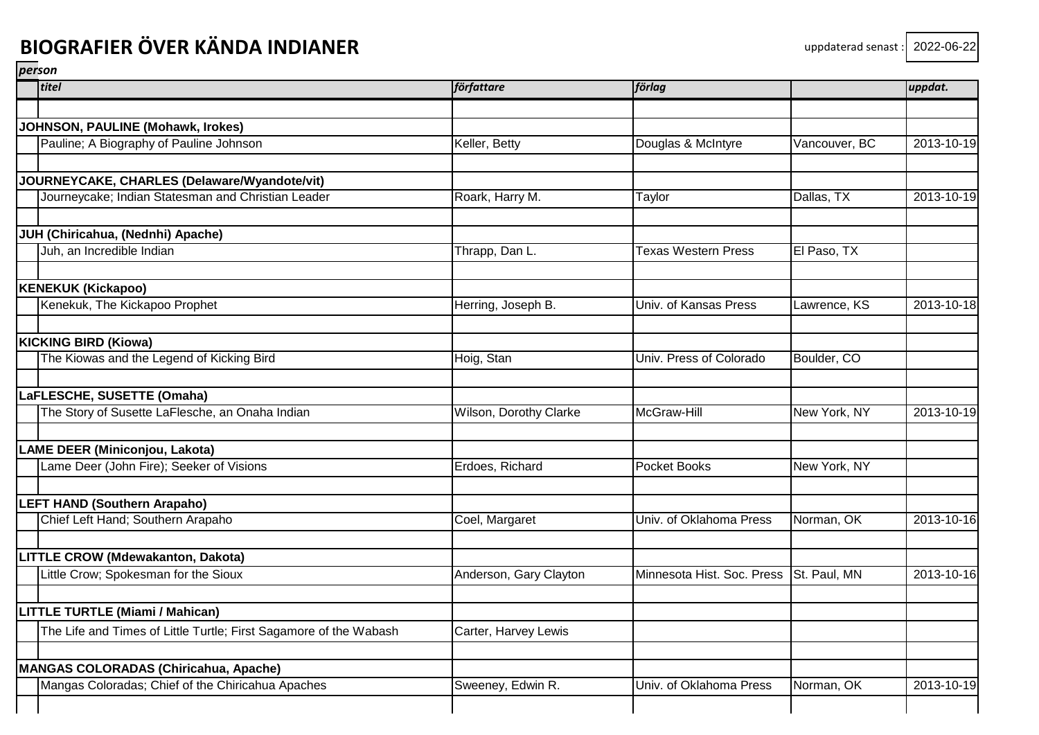| titel                                                             | författare             | förlag                     |               | uppdat.    |
|-------------------------------------------------------------------|------------------------|----------------------------|---------------|------------|
|                                                                   |                        |                            |               |            |
| JOHNSON, PAULINE (Mohawk, Irokes)                                 |                        |                            |               |            |
| Pauline; A Biography of Pauline Johnson                           | Keller, Betty          | Douglas & McIntyre         | Vancouver, BC | 2013-10-19 |
| JOURNEYCAKE, CHARLES (Delaware/Wyandote/vit)                      |                        |                            |               |            |
| Journeycake; Indian Statesman and Christian Leader                | Roark, Harry M.        | Taylor                     | Dallas, TX    | 2013-10-19 |
| JUH (Chiricahua, (Nednhi) Apache)                                 |                        |                            |               |            |
| Juh, an Incredible Indian                                         | Thrapp, Dan L.         | <b>Texas Western Press</b> | El Paso, TX   |            |
| <b>KENEKUK (Kickapoo)</b>                                         |                        |                            |               |            |
| Kenekuk, The Kickapoo Prophet                                     | Herring, Joseph B.     | Univ. of Kansas Press      | Lawrence, KS  | 2013-10-18 |
| <b>KICKING BIRD (Kiowa)</b>                                       |                        |                            |               |            |
| The Kiowas and the Legend of Kicking Bird                         | Hoig, Stan             | Univ. Press of Colorado    | Boulder, CO   |            |
| LaFLESCHE, SUSETTE (Omaha)                                        |                        |                            |               |            |
| The Story of Susette LaFlesche, an Onaha Indian                   | Wilson, Dorothy Clarke | McGraw-Hill                | New York, NY  | 2013-10-19 |
| LAME DEER (Miniconjou, Lakota)                                    |                        |                            |               |            |
| Lame Deer (John Fire); Seeker of Visions                          | Erdoes, Richard        | Pocket Books               | New York, NY  |            |
| <b>LEFT HAND (Southern Arapaho)</b>                               |                        |                            |               |            |
| Chief Left Hand; Southern Arapaho                                 | Coel, Margaret         | Univ. of Oklahoma Press    | Norman, OK    | 2013-10-16 |
| LITTLE CROW (Mdewakanton, Dakota)                                 |                        |                            |               |            |
| Little Crow; Spokesman for the Sioux                              | Anderson, Gary Clayton | Minnesota Hist. Soc. Press | St. Paul, MN  | 2013-10-16 |
| <b>LITTLE TURTLE (Miami / Mahican)</b>                            |                        |                            |               |            |
| The Life and Times of Little Turtle; First Sagamore of the Wabash | Carter, Harvey Lewis   |                            |               |            |
| MANGAS COLORADAS (Chiricahua, Apache)                             |                        |                            |               |            |
| Mangas Coloradas; Chief of the Chiricahua Apaches                 | Sweeney, Edwin R.      | Univ. of Oklahoma Press    | Norman, OK    | 2013-10-19 |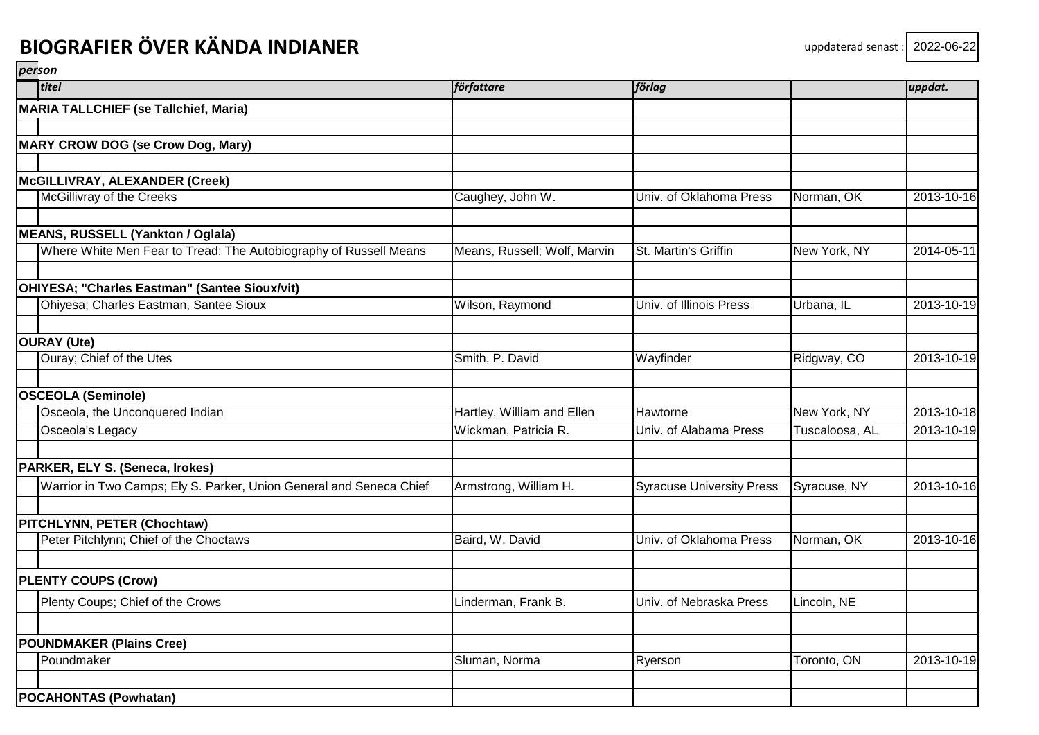| titel                                                               | författare                   | förlag                           |                | uppdat.    |
|---------------------------------------------------------------------|------------------------------|----------------------------------|----------------|------------|
| <b>MARIA TALLCHIEF (se Tallchief, Maria)</b>                        |                              |                                  |                |            |
|                                                                     |                              |                                  |                |            |
| <b>MARY CROW DOG (se Crow Dog, Mary)</b>                            |                              |                                  |                |            |
|                                                                     |                              |                                  |                |            |
| McGILLIVRAY, ALEXANDER (Creek)                                      |                              |                                  |                |            |
| McGillivray of the Creeks                                           | Caughey, John W.             | Univ. of Oklahoma Press          | Norman, OK     | 2013-10-16 |
| <b>MEANS, RUSSELL (Yankton / Oglala)</b>                            |                              |                                  |                |            |
| Where White Men Fear to Tread: The Autobiography of Russell Means   | Means, Russell; Wolf, Marvin | St. Martin's Griffin             | New York, NY   | 2014-05-11 |
| OHIYESA; "Charles Eastman" (Santee Sioux/vit)                       |                              |                                  |                |            |
| Ohiyesa; Charles Eastman, Santee Sioux                              | Wilson, Raymond              | Univ. of Illinois Press          | Urbana, IL     | 2013-10-19 |
| <b>OURAY (Ute)</b>                                                  |                              |                                  |                |            |
| Ouray; Chief of the Utes                                            | Smith, P. David              | Wayfinder                        | Ridgway, CO    | 2013-10-19 |
|                                                                     |                              |                                  |                |            |
| <b>OSCEOLA (Seminole)</b>                                           |                              |                                  |                |            |
| Osceola, the Unconquered Indian                                     | Hartley, William and Ellen   | <b>Hawtorne</b>                  | New York, NY   | 2013-10-18 |
| Osceola's Legacy                                                    | Wickman, Patricia R.         | Univ. of Alabama Press           | Tuscaloosa, AL | 2013-10-19 |
| PARKER, ELY S. (Seneca, Irokes)                                     |                              |                                  |                |            |
| Warrior in Two Camps; Ely S. Parker, Union General and Seneca Chief | Armstrong, William H.        | <b>Syracuse University Press</b> | Syracuse, NY   | 2013-10-16 |
| PITCHLYNN, PETER (Chochtaw)                                         |                              |                                  |                |            |
| Peter Pitchlynn; Chief of the Choctaws                              | Baird, W. David              | Univ. of Oklahoma Press          | Norman, OK     | 2013-10-16 |
| <b>PLENTY COUPS (Crow)</b>                                          |                              |                                  |                |            |
|                                                                     |                              |                                  |                |            |
| Plenty Coups; Chief of the Crows                                    | Linderman, Frank B.          | Univ. of Nebraska Press          | Lincoln, NE    |            |
| <b>POUNDMAKER (Plains Cree)</b>                                     |                              |                                  |                |            |
| Poundmaker                                                          | Sluman, Norma                | Ryerson                          | Toronto, ON    | 2013-10-19 |
|                                                                     |                              |                                  |                |            |
| <b>POCAHONTAS (Powhatan)</b>                                        |                              |                                  |                |            |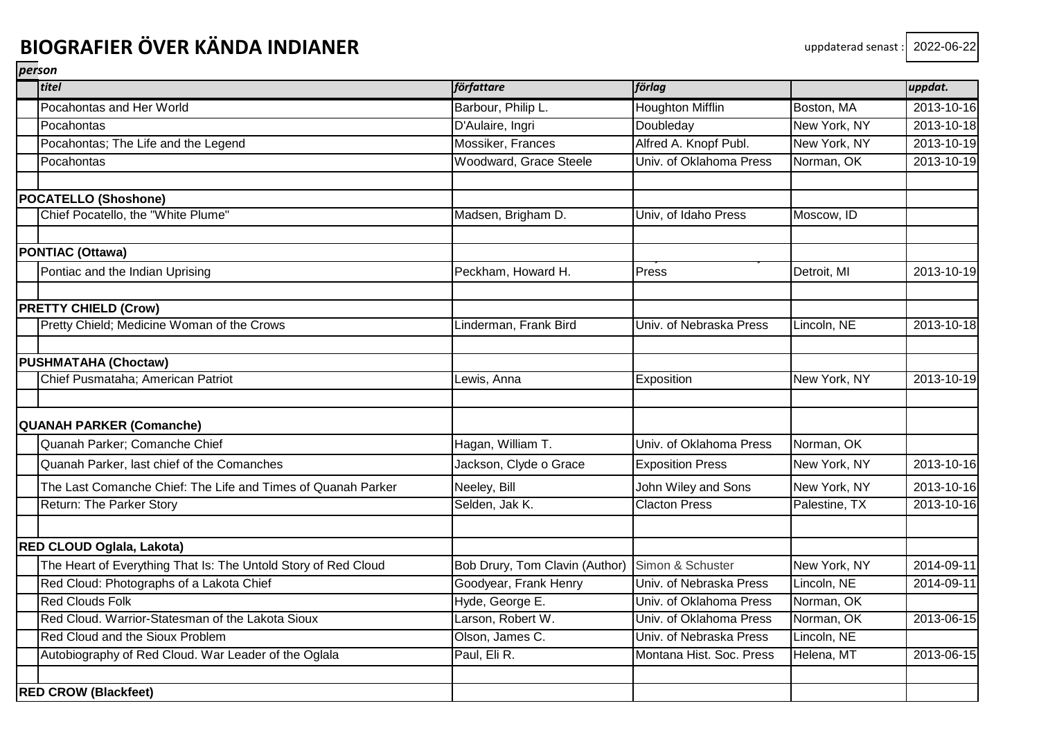| titel                                                          | författare                     | förlag                   |               | uppdat.    |
|----------------------------------------------------------------|--------------------------------|--------------------------|---------------|------------|
| Pocahontas and Her World                                       | Barbour, Philip L.             | <b>Houghton Mifflin</b>  | Boston, MA    | 2013-10-16 |
| Pocahontas                                                     | D'Aulaire, Ingri               | Doubleday                | New York, NY  | 2013-10-18 |
| Pocahontas; The Life and the Legend                            | Mossiker, Frances              | Alfred A. Knopf Publ.    | New York, NY  | 2013-10-19 |
| Pocahontas                                                     | Woodward, Grace Steele         | Univ. of Oklahoma Press  | Norman, OK    | 2013-10-19 |
| <b>POCATELLO (Shoshone)</b>                                    |                                |                          |               |            |
| Chief Pocatello, the "White Plume"                             | Madsen, Brigham D.             | Univ, of Idaho Press     | Moscow, ID    |            |
|                                                                |                                |                          |               |            |
| <b>PONTIAC (Ottawa)</b>                                        |                                |                          |               |            |
| Pontiac and the Indian Uprising                                | Peckham, Howard H.             | Press                    | Detroit, MI   | 2013-10-19 |
| <b>PRETTY CHIELD (Crow)</b>                                    |                                |                          |               |            |
| Pretty Chield; Medicine Woman of the Crows                     | Linderman, Frank Bird          | Univ. of Nebraska Press  | Lincoln, NE   | 2013-10-18 |
| <b>PUSHMATAHA (Choctaw)</b>                                    |                                |                          |               |            |
| Chief Pusmataha; American Patriot                              | Lewis, Anna                    | Exposition               | New York, NY  | 2013-10-19 |
| <b>QUANAH PARKER (Comanche)</b>                                |                                |                          |               |            |
| Quanah Parker; Comanche Chief                                  | Hagan, William T.              | Univ. of Oklahoma Press  | Norman, OK    |            |
| Quanah Parker, last chief of the Comanches                     | Jackson, Clyde o Grace         | <b>Exposition Press</b>  | New York, NY  | 2013-10-16 |
| The Last Comanche Chief: The Life and Times of Quanah Parker   | Neeley, Bill                   | John Wiley and Sons      | New York, NY  | 2013-10-16 |
| <b>Return: The Parker Story</b>                                | Selden, Jak K.                 | <b>Clacton Press</b>     | Palestine, TX | 2013-10-16 |
| RED CLOUD Oglala, Lakota)                                      |                                |                          |               |            |
| The Heart of Everything That Is: The Untold Story of Red Cloud | Bob Drury, Tom Clavin (Author) | Simon & Schuster         | New York, NY  | 2014-09-11 |
| Red Cloud: Photographs of a Lakota Chief                       | Goodyear, Frank Henry          | Univ. of Nebraska Press  | Lincoln, NE   | 2014-09-11 |
| <b>Red Clouds Folk</b>                                         | Hyde, George E.                | Univ. of Oklahoma Press  | Norman, OK    |            |
| Red Cloud. Warrior-Statesman of the Lakota Sioux               | Larson, Robert W.              | Univ. of Oklahoma Press  | Norman, OK    | 2013-06-15 |
| Red Cloud and the Sioux Problem                                | Olson, James C.                | Univ. of Nebraska Press  | Lincoln, NE   |            |
| Autobiography of Red Cloud. War Leader of the Oglala           | Paul, Eli R.                   | Montana Hist. Soc. Press | Helena, MT    | 2013-06-15 |
| <b>RED CROW (Blackfeet)</b>                                    |                                |                          |               |            |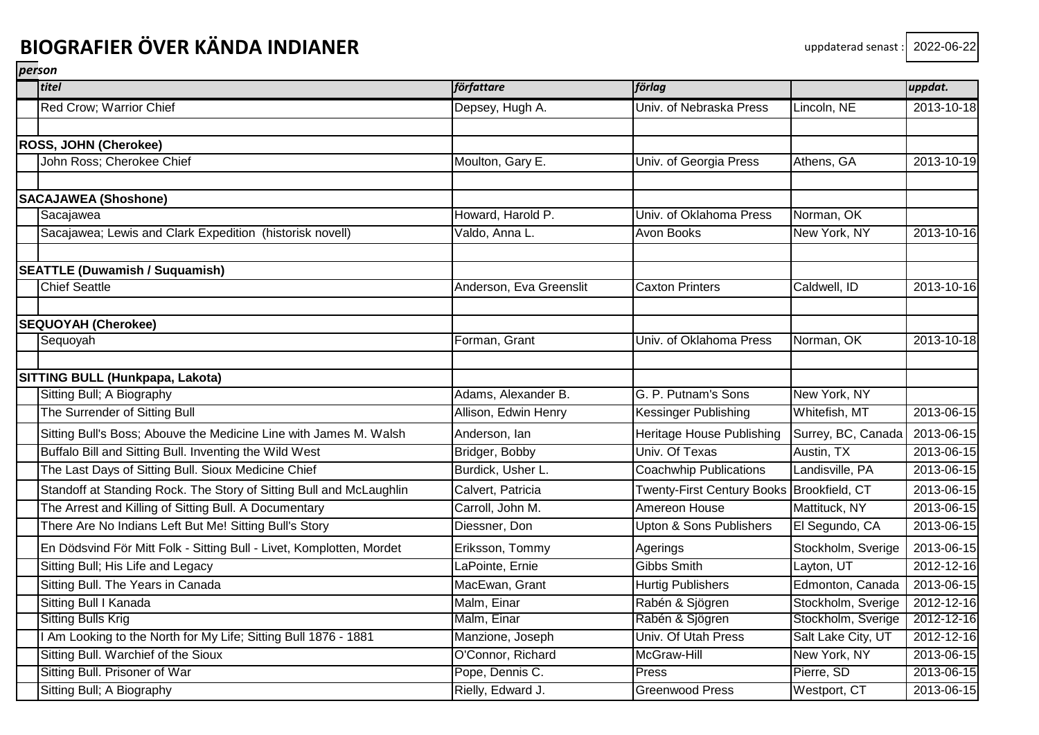| titel                                                                | författare              | förlag                                    |                    | uppdat.    |
|----------------------------------------------------------------------|-------------------------|-------------------------------------------|--------------------|------------|
| Red Crow; Warrior Chief                                              | Depsey, Hugh A.         | Univ. of Nebraska Press                   | Lincoln, NE        | 2013-10-18 |
|                                                                      |                         |                                           |                    |            |
| <b>ROSS, JOHN (Cherokee)</b>                                         |                         |                                           |                    |            |
| John Ross; Cherokee Chief                                            | Moulton, Gary E.        | Univ. of Georgia Press                    | Athens, GA         | 2013-10-19 |
|                                                                      |                         |                                           |                    |            |
| <b>SACAJAWEA (Shoshone)</b>                                          | Howard, Harold P.       |                                           |                    |            |
| Sacajawea                                                            |                         | Univ. of Oklahoma Press                   | Norman, OK         |            |
| Sacajawea; Lewis and Clark Expedition (historisk novell)             | Valdo, Anna L.          | Avon Books                                | New York, NY       | 2013-10-16 |
| <b>SEATTLE (Duwamish / Suquamish)</b>                                |                         |                                           |                    |            |
| <b>Chief Seattle</b>                                                 | Anderson, Eva Greenslit | <b>Caxton Printers</b>                    | Caldwell, ID       | 2013-10-16 |
| <b>SEQUOYAH (Cherokee)</b>                                           |                         |                                           |                    |            |
| Sequoyah                                                             | Forman, Grant           | Univ. of Oklahoma Press                   | Norman, OK         | 2013-10-18 |
| SITTING BULL (Hunkpapa, Lakota)                                      |                         |                                           |                    |            |
| Sitting Bull; A Biography                                            | Adams, Alexander B.     | G. P. Putnam's Sons                       | New York, NY       |            |
| The Surrender of Sitting Bull                                        | Allison, Edwin Henry    | <b>Kessinger Publishing</b>               | Whitefish, MT      | 2013-06-15 |
| Sitting Bull's Boss; Abouve the Medicine Line with James M. Walsh    | Anderson, Ian           | Heritage House Publishing                 | Surrey, BC, Canada | 2013-06-15 |
| Buffalo Bill and Sitting Bull. Inventing the Wild West               | Bridger, Bobby          | Univ. Of Texas                            | Austin, TX         | 2013-06-15 |
| The Last Days of Sitting Bull. Sioux Medicine Chief                  | Burdick, Usher L.       | <b>Coachwhip Publications</b>             | Landisville, PA    | 2013-06-15 |
| Standoff at Standing Rock. The Story of Sitting Bull and McLaughlin  | Calvert, Patricia       | Twenty-First Century Books Brookfield, CT |                    | 2013-06-15 |
| The Arrest and Killing of Sitting Bull. A Documentary                | Carroll, John M.        | Amereon House                             | Mattituck, NY      | 2013-06-15 |
| There Are No Indians Left But Me! Sitting Bull's Story               | Diessner, Don           | <b>Upton &amp; Sons Publishers</b>        | El Segundo, CA     | 2013-06-15 |
| En Dödsvind För Mitt Folk - Sitting Bull - Livet, Komplotten, Mordet | Eriksson, Tommy         | Agerings                                  | Stockholm, Sverige | 2013-06-15 |
| Sitting Bull; His Life and Legacy                                    | LaPointe, Ernie         | <b>Gibbs Smith</b>                        | Layton, UT         | 2012-12-16 |
| Sitting Bull. The Years in Canada                                    | MacEwan, Grant          | <b>Hurtig Publishers</b>                  | Edmonton, Canada   | 2013-06-15 |
| Sitting Bull I Kanada                                                | Malm, Einar             | Rabén & Sjögren                           | Stockholm, Sverige | 2012-12-16 |
| Sitting Bulls Krig                                                   | Malm, Einar             | Rabén & Sjögren                           | Stockholm, Sverige | 2012-12-16 |
| I Am Looking to the North for My Life; Sitting Bull 1876 - 1881      | Manzione, Joseph        | Univ. Of Utah Press                       | Salt Lake City, UT | 2012-12-16 |
| Sitting Bull. Warchief of the Sioux                                  | O'Connor, Richard       | McGraw-Hill                               | New York, NY       | 2013-06-15 |
| Sitting Bull. Prisoner of War                                        | Pope, Dennis C.         | Press                                     | Pierre, SD         | 2013-06-15 |
| Sitting Bull; A Biography                                            | Rielly, Edward J.       | <b>Greenwood Press</b>                    | Westport, CT       | 2013-06-15 |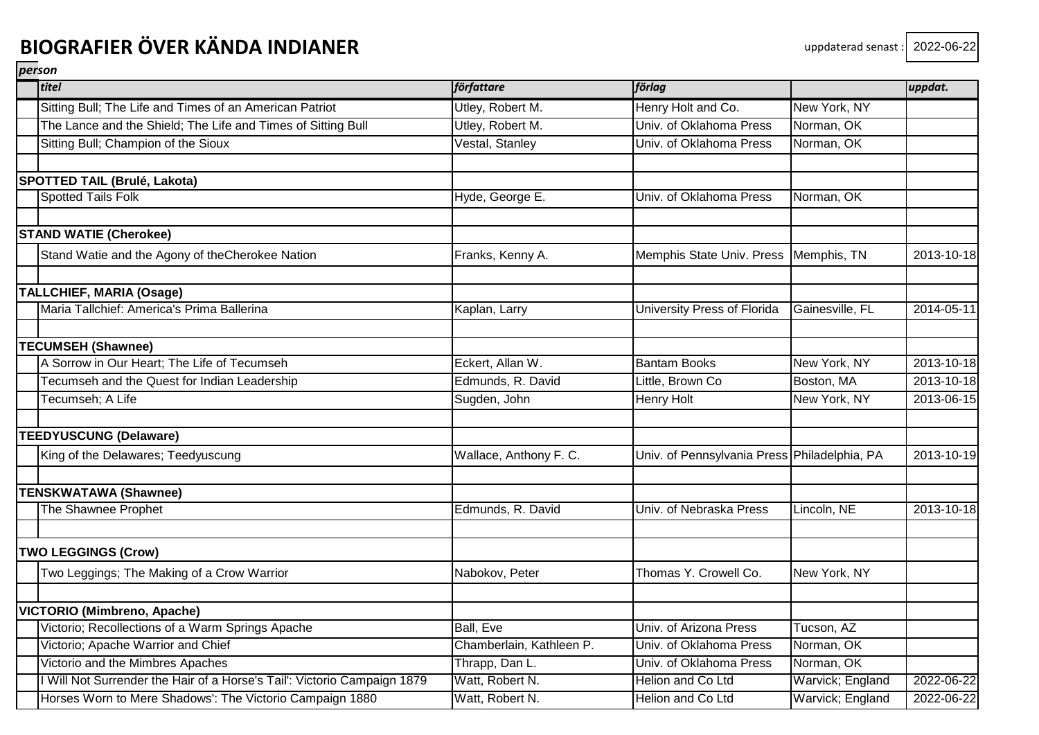| titel                                                                  | författare               | förlag                                       |                  | uppdat.    |
|------------------------------------------------------------------------|--------------------------|----------------------------------------------|------------------|------------|
| Sitting Bull; The Life and Times of an American Patriot                | Utley, Robert M.         | Henry Holt and Co.                           | New York, NY     |            |
| The Lance and the Shield; The Life and Times of Sitting Bull           | Utley, Robert M.         | Univ. of Oklahoma Press                      | Norman, OK       |            |
| Sitting Bull; Champion of the Sioux                                    | Vestal, Stanley          | Univ. of Oklahoma Press                      | Norman, OK       |            |
| SPOTTED TAIL (Brulé, Lakota)                                           |                          |                                              |                  |            |
| <b>Spotted Tails Folk</b>                                              | Hyde, George E.          | Univ. of Oklahoma Press                      | Norman, OK       |            |
|                                                                        |                          |                                              |                  |            |
| <b>STAND WATIE (Cherokee)</b>                                          |                          |                                              |                  |            |
| Stand Watie and the Agony of theCherokee Nation                        | Franks, Kenny A.         | Memphis State Univ. Press Memphis, TN        |                  | 2013-10-18 |
| <b>TALLCHIEF, MARIA (Osage)</b>                                        |                          |                                              |                  |            |
| Maria Tallchief: America's Prima Ballerina                             | Kaplan, Larry            | University Press of Florida                  | Gainesville, FL  | 2014-05-11 |
| <b>TECUMSEH (Shawnee)</b>                                              |                          |                                              |                  |            |
| A Sorrow in Our Heart; The Life of Tecumseh                            | Eckert, Allan W.         | <b>Bantam Books</b>                          | New York, NY     | 2013-10-18 |
| Tecumseh and the Quest for Indian Leadership                           | Edmunds, R. David        | Little, Brown Co                             | Boston, MA       | 2013-10-18 |
| Tecumseh; A Life                                                       | Sugden, John             | Henry Holt                                   | New York, NY     | 2013-06-15 |
| <b>TEEDYUSCUNG (Delaware)</b>                                          |                          |                                              |                  |            |
| King of the Delawares; Teedyuscung                                     | Wallace, Anthony F. C.   | Univ. of Pennsylvania Press Philadelphia, PA |                  | 2013-10-19 |
| <b>TENSKWATAWA (Shawnee)</b>                                           |                          |                                              |                  |            |
| The Shawnee Prophet                                                    | Edmunds, R. David        | Univ. of Nebraska Press                      | Lincoln, NE      | 2013-10-18 |
| <b>TWO LEGGINGS (Crow)</b>                                             |                          |                                              |                  |            |
| Two Leggings; The Making of a Crow Warrior                             | Nabokov, Peter           | Thomas Y. Crowell Co.                        | New York, NY     |            |
| VICTORIO (Mimbreno, Apache)                                            |                          |                                              |                  |            |
| Victorio; Recollections of a Warm Springs Apache                       | <b>Ball, Eve</b>         | Univ. of Arizona Press                       | Tucson, AZ       |            |
| Victorio; Apache Warrior and Chief                                     | Chamberlain, Kathleen P. | Univ. of Oklahoma Press                      | Norman, OK       |            |
| Victorio and the Mimbres Apaches                                       | Thrapp, Dan L.           | Univ. of Oklahoma Press                      | Norman, OK       |            |
| Will Not Surrender the Hair of a Horse's Tail': Victorio Campaign 1879 | Watt, Robert N.          | Helion and Co Ltd                            | Warvick; England | 2022-06-22 |
| Horses Worn to Mere Shadows': The Victorio Campaign 1880               | Watt, Robert N.          | Helion and Co Ltd                            | Warvick; England | 2022-06-22 |